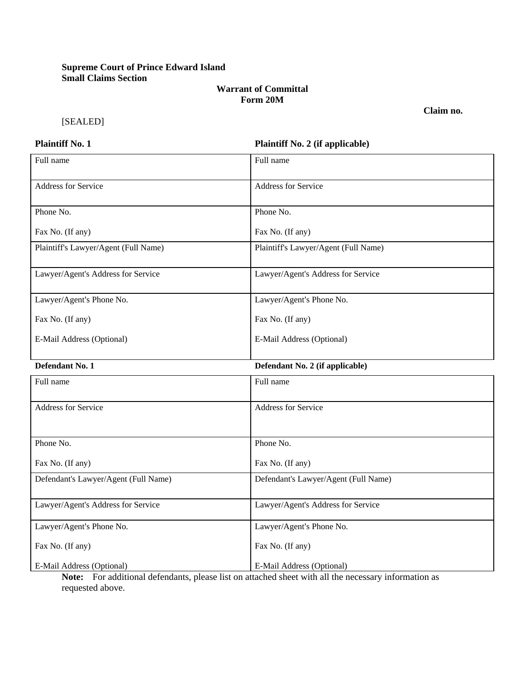## **Supreme Court of Prince Edward Island Small Claims Section**

## **Warrant of Committal Form 20M**

[SEALED]

**Plaintiff No. 1 Plaintiff No. 2 (if applicable)**

| Full name<br>Full name<br>Address for Service<br>Address for Service         |  |
|------------------------------------------------------------------------------|--|
|                                                                              |  |
|                                                                              |  |
|                                                                              |  |
|                                                                              |  |
| Phone No.<br>Phone No.                                                       |  |
|                                                                              |  |
| Fax No. (If any)<br>Fax No. (If any)                                         |  |
| Plaintiff's Lawyer/Agent (Full Name)<br>Plaintiff's Lawyer/Agent (Full Name) |  |
|                                                                              |  |
|                                                                              |  |
| Lawyer/Agent's Address for Service<br>Lawyer/Agent's Address for Service     |  |
|                                                                              |  |
| Lawyer/Agent's Phone No.<br>Lawyer/Agent's Phone No.                         |  |
|                                                                              |  |
| Fax No. (If any)<br>Fax No. (If any)                                         |  |
|                                                                              |  |
| E-Mail Address (Optional)<br>E-Mail Address (Optional)                       |  |
|                                                                              |  |
| Defendant No. 1<br>Defendant No. 2 (if applicable)                           |  |
| Full name<br>Full name                                                       |  |
|                                                                              |  |
| Address for Service<br>Address for Service                                   |  |
|                                                                              |  |
|                                                                              |  |
| Phone No.<br>Phone No.                                                       |  |
|                                                                              |  |
| Fax No. (If any)<br>Fax No. (If any)                                         |  |
|                                                                              |  |
| Defendant's Lawyer/Agent (Full Name)<br>Defendant's Lawyer/Agent (Full Name) |  |
|                                                                              |  |
| Lawyer/Agent's Address for Service<br>Lawyer/Agent's Address for Service     |  |
|                                                                              |  |
| Lawyer/Agent's Phone No.<br>Lawyer/Agent's Phone No.                         |  |
|                                                                              |  |
| Fax No. (If any)<br>Fax No. (If any)                                         |  |
| E-Mail Address (Optional)<br>E-Mail Address (Optional)                       |  |

**Note:** For additional defendants, please list on attached sheet with all the necessary information as requested above.

**Claim no.**